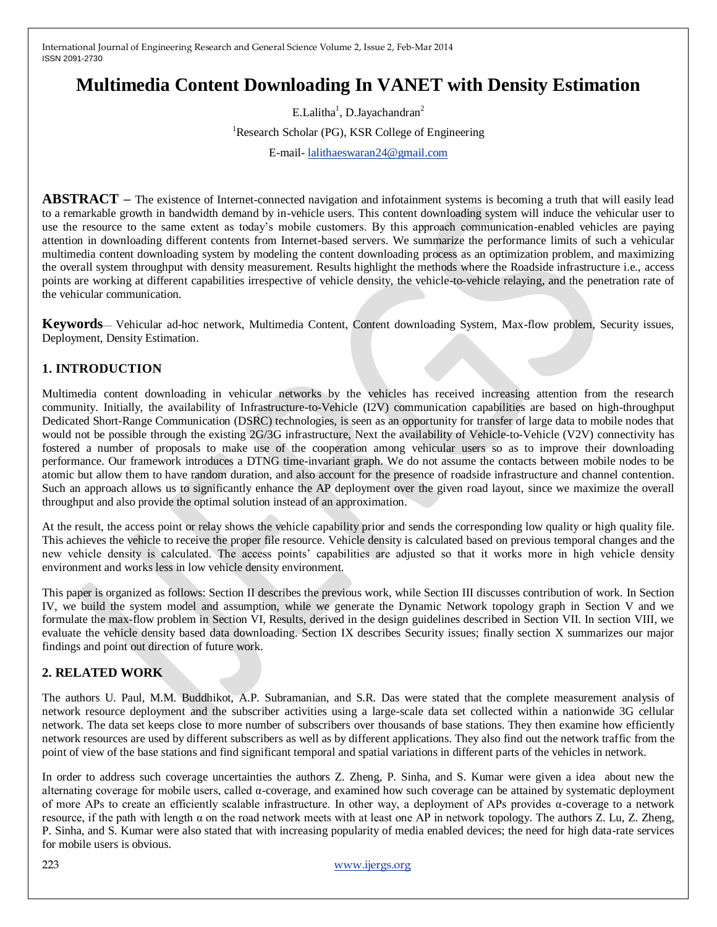# **Multimedia Content Downloading In VANET with Density Estimation**

E.Lalitha<sup>1</sup>, D.Jayachandran<sup>2</sup> <sup>1</sup>Research Scholar (PG), KSR College of Engineering E-mail- [lalithaeswaran24@gmail.com](mailto:lalithaeswaran24@gmail.com)

**ABSTRACT** – The existence of Internet-connected navigation and infotainment systems is becoming a truth that will easily lead to a remarkable growth in bandwidth demand by in-vehicle users. This content downloading system will induce the vehicular user to use the resource to the same extent as today's mobile customers. By this approach communication-enabled vehicles are paying attention in downloading different contents from Internet-based servers. We summarize the performance limits of such a vehicular multimedia content downloading system by modeling the content downloading process as an optimization problem, and maximizing the overall system throughput with density measurement. Results highlight the methods where the Roadside infrastructure i.e., access points are working at different capabilities irrespective of vehicle density, the vehicle-to-vehicle relaying, and the penetration rate of the vehicular communication.

**Keywords**— Vehicular ad-hoc network, Multimedia Content, Content downloading System, Max-flow problem, Security issues, Deployment, Density Estimation.

## **1. INTRODUCTION**

Multimedia content downloading in vehicular networks by the vehicles has received increasing attention from the research community. Initially, the availability of Infrastructure-to-Vehicle (I2V) communication capabilities are based on high-throughput Dedicated Short-Range Communication (DSRC) technologies, is seen as an opportunity for transfer of large data to mobile nodes that would not be possible through the existing 2G/3G infrastructure, Next the availability of Vehicle-to-Vehicle (V2V) connectivity has fostered a number of proposals to make use of the cooperation among vehicular users so as to improve their downloading performance. Our framework introduces a DTNG time-invariant graph. We do not assume the contacts between mobile nodes to be atomic but allow them to have random duration, and also account for the presence of roadside infrastructure and channel contention. Such an approach allows us to significantly enhance the AP deployment over the given road layout, since we maximize the overall throughput and also provide the optimal solution instead of an approximation.

At the result, the access point or relay shows the vehicle capability prior and sends the corresponding low quality or high quality file. This achieves the vehicle to receive the proper file resource. Vehicle density is calculated based on previous temporal changes and the new vehicle density is calculated. The access points' capabilities are adjusted so that it works more in high vehicle density environment and works less in low vehicle density environment.

This paper is organized as follows: Section II describes the previous work, while Section III discusses contribution of work. In Section IV, we build the system model and assumption, while we generate the Dynamic Network topology graph in Section V and we formulate the max-flow problem in Section VI, Results, derived in the design guidelines described in Section VII. In section VIII, we evaluate the vehicle density based data downloading. Section IX describes Security issues; finally section X summarizes our major findings and point out direction of future work.

## **2. RELATED WORK**

The authors U. Paul, M.M. Buddhikot, A.P. Subramanian, and S.R. Das were stated that the complete measurement analysis of network resource deployment and the subscriber activities using a large-scale data set collected within a nationwide 3G cellular network. The data set keeps close to more number of subscribers over thousands of base stations. They then examine how efficiently network resources are used by different subscribers as well as by different applications. They also find out the network traffic from the point of view of the base stations and find significant temporal and spatial variations in different parts of the vehicles in network.

In order to address such coverage uncertainties the authors Z. Zheng, P. Sinha, and S. Kumar were given a idea about new the alternating coverage for mobile users, called  $\alpha$ -coverage, and examined how such coverage can be attained by systematic deployment of more APs to create an efficiently scalable infrastructure. In other way, a deployment of APs provides α-coverage to a network resource, if the path with length α on the road network meets with at least one AP in network topology. The authors Z. Lu, Z. Zheng, P. Sinha, and S. Kumar were also stated that with increasing popularity of media enabled devices; the need for high data-rate services for mobile users is obvious.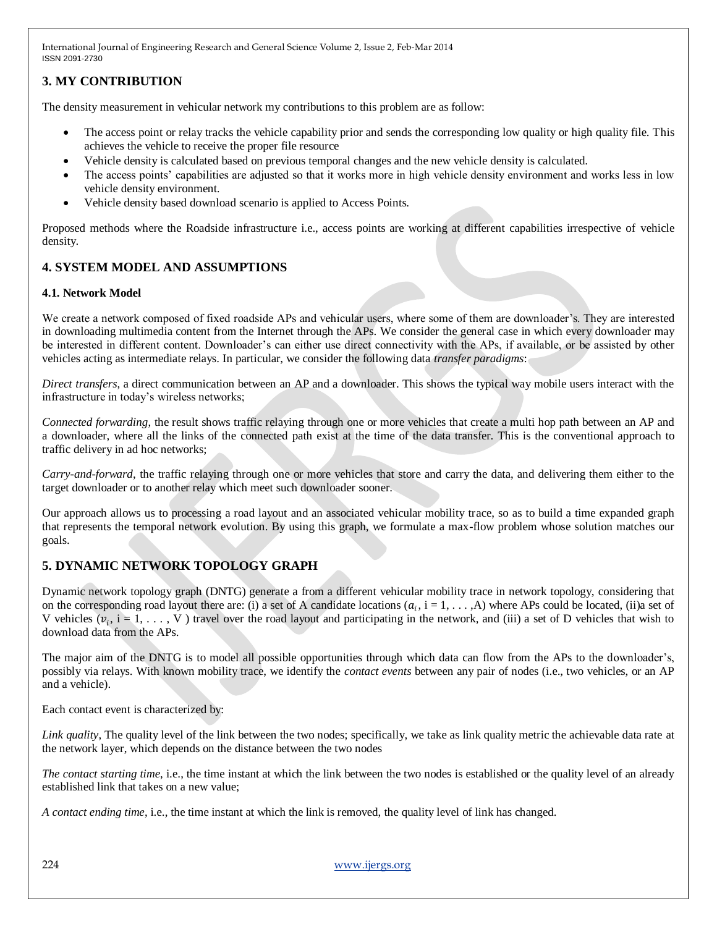# **3. MY CONTRIBUTION**

The density measurement in vehicular network my contributions to this problem are as follow:

- The access point or relay tracks the vehicle capability prior and sends the corresponding low quality or high quality file. This achieves the vehicle to receive the proper file resource
- Vehicle density is calculated based on previous temporal changes and the new vehicle density is calculated.
- The access points' capabilities are adjusted so that it works more in high vehicle density environment and works less in low vehicle density environment.
- Vehicle density based download scenario is applied to Access Points.

Proposed methods where the Roadside infrastructure i.e., access points are working at different capabilities irrespective of vehicle density.

## **4. SYSTEM MODEL AND ASSUMPTIONS**

## **4.1. Network Model**

We create a network composed of fixed roadside APs and vehicular users, where some of them are downloader's. They are interested in downloading multimedia content from the Internet through the APs. We consider the general case in which every downloader may be interested in different content. Downloader's can either use direct connectivity with the APs, if available, or be assisted by other vehicles acting as intermediate relays. In particular, we consider the following data *transfer paradigms*:

*Direct transfers*, a direct communication between an AP and a downloader. This shows the typical way mobile users interact with the infrastructure in today's wireless networks;

*Connected forwarding*, the result shows traffic relaying through one or more vehicles that create a multi hop path between an AP and a downloader, where all the links of the connected path exist at the time of the data transfer. This is the conventional approach to traffic delivery in ad hoc networks;

*Carry-and-forward*, the traffic relaying through one or more vehicles that store and carry the data, and delivering them either to the target downloader or to another relay which meet such downloader sooner.

Our approach allows us to processing a road layout and an associated vehicular mobility trace, so as to build a time expanded graph that represents the temporal network evolution. By using this graph, we formulate a max-flow problem whose solution matches our goals.

## **5. DYNAMIC NETWORK TOPOLOGY GRAPH**

Dynamic network topology graph (DNTG) generate a from a different vehicular mobility trace in network topology, considering that on the corresponding road layout there are: (i) a set of A candidate locations  $(a_i, i = 1, \ldots, A)$  where APs could be located, (ii)a set of V vehicles  $(v_i, i = 1, \ldots, V)$  travel over the road layout and participating in the network, and (iii) a set of D vehicles that wish to download data from the APs.

The major aim of the DNTG is to model all possible opportunities through which data can flow from the APs to the downloader's, possibly via relays. With known mobility trace, we identify the *contact events* between any pair of nodes (i.e., two vehicles, or an AP and a vehicle).

Each contact event is characterized by:

*Link quality*, The quality level of the link between the two nodes; specifically, we take as link quality metric the achievable data rate at the network layer, which depends on the distance between the two nodes

*The contact starting time*, i.e., the time instant at which the link between the two nodes is established or the quality level of an already established link that takes on a new value;

*A contact ending time*, i.e., the time instant at which the link is removed, the quality level of link has changed.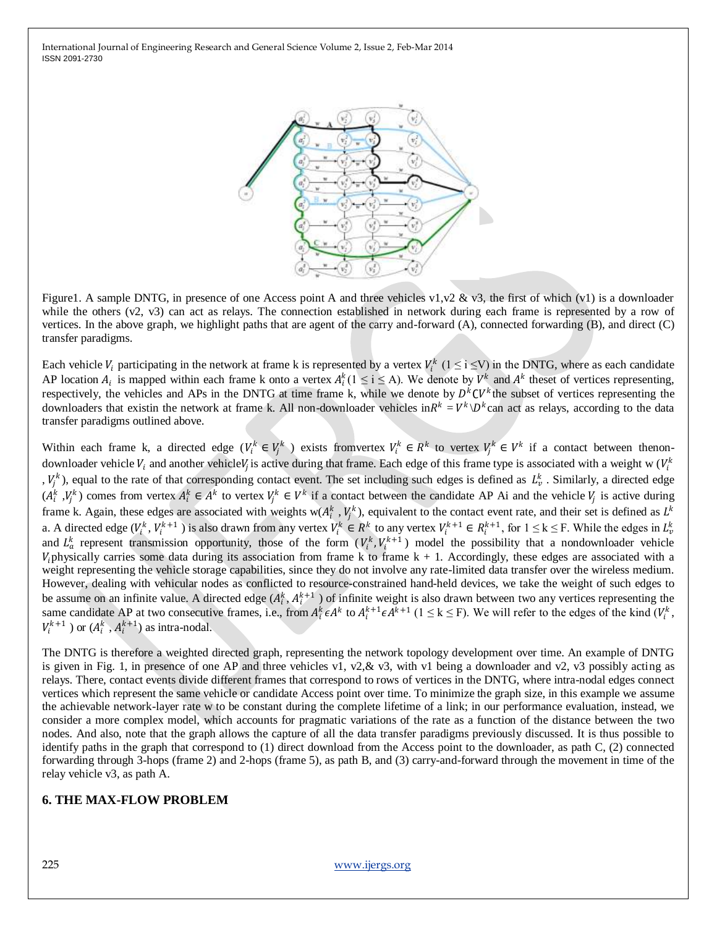

Figure1. A sample DNTG, in presence of one Access point A and three vehicles v1, v2 & v3, the first of which (v1) is a downloader while the others (v2, v3) can act as relays. The connection established in network during each frame is represented by a row of vertices. In the above graph, we highlight paths that are agent of the carry and-forward (A), connected forwarding (B), and direct (C) transfer paradigms.

Each vehicle  $V_i$  participating in the network at frame k is represented by a vertex  $V_i^k$  ( $1 \le i \le V$ ) in the DNTG, where as each candidate AP location  $A_i$  is mapped within each frame k onto a vertex  $A_i^k (1 \le i \le A)$ . We denote by  $V^k$  and  $A^k$  theset of vertices representing, respectively, the vehicles and APs in the DNTG at time frame k, while we denote by  $D^kCV^k$  the subset of vertices representing the downloaders that existin the network at frame k. All non-downloader vehicles in $R^k = V^k \backslash D^k$ can act as relays, according to the data transfer paradigms outlined above.

Within each frame k, a directed edge  $(V_i^k \in V_j^k)$  exists fromvertex  $V_i^k \in R^k$  to vertex  $V_j^k \in V^k$  if a contact between thenondownloader vehicle  $V_i$  and another vehicle $V_j$  is active during that frame. Each edge of this frame type is associated with a weight w ( $V_i^k$ ,  $V_j^k$ ), equal to the rate of that corresponding contact event. The set including such edges is defined as  $L^k_\nu$ . Similarly, a directed edge  $(A_i^k, V_j^k)$  comes from vertex  $A_i^k \in A^k$  to vertex  $V_j^k \in V^k$  if a contact between the candidate AP Ai and the vehicle  $V_j$  is active during frame k. Again, these edges are associated with weights w( $A_i^k$ ,  $V_j^k$ ), equivalent to the contact event rate, and their set is defined as  $L^k$ a. A directed edge ( $V_i^k$ ,  $V_i^{k+1}$  ) is also drawn from any vertex  $V_i^k \in R^k$  to any vertex  $V_i^{k+1} \in R_i^{k+1}$ , for  $1 \le k \le F$ . While the edges in  $L_v^k$ and  $L_a^k$  represent transmission opportunity, those of the form  $(V_i^k, V_i^{k+1})$  model the possibility that a nondownloader vehicle  $V_i$  physically carries some data during its association from frame k to frame  $k + 1$ . Accordingly, these edges are associated with a weight representing the vehicle storage capabilities, since they do not involve any rate-limited data transfer over the wireless medium. However, dealing with vehicular nodes as conflicted to resource-constrained hand-held devices, we take the weight of such edges to be assume on an infinite value. A directed edge  $(A_i^k, A_i^{k+1})$  of infinite weight is also drawn between two any vertices representing the same candidate AP at two consecutive frames, i.e., from  $A_i^k \epsilon A^k$  to  $A_i^{k+1} \epsilon A^{k+1}$  ( $1 \le k \le F$ ). We will refer to the edges of the kind  $(V_i^k,$  $V_i^{k+1}$ ) or  $(A_i^k, A_i^{k+1})$  as intra-nodal.

The DNTG is therefore a weighted directed graph, representing the network topology development over time. An example of DNTG is given in Fig. 1, in presence of one AP and three vehicles v1, v2, & v3, with v1 being a downloader and v2, v3 possibly acting as relays. There, contact events divide different frames that correspond to rows of vertices in the DNTG, where intra-nodal edges connect vertices which represent the same vehicle or candidate Access point over time. To minimize the graph size, in this example we assume the achievable network-layer rate w to be constant during the complete lifetime of a link; in our performance evaluation, instead, we consider a more complex model, which accounts for pragmatic variations of the rate as a function of the distance between the two nodes. And also, note that the graph allows the capture of all the data transfer paradigms previously discussed. It is thus possible to identify paths in the graph that correspond to (1) direct download from the Access point to the downloader, as path C, (2) connected forwarding through 3-hops (frame 2) and 2-hops (frame 5), as path B, and (3) carry-and-forward through the movement in time of the relay vehicle v3, as path A.

#### **6. THE MAX-FLOW PROBLEM**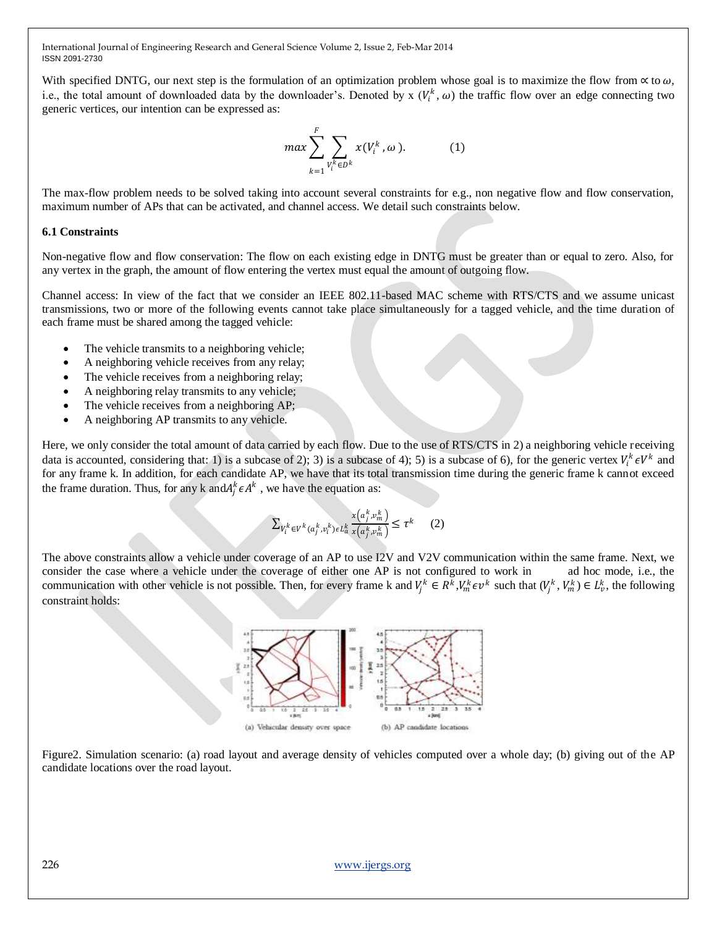With specified DNTG, our next step is the formulation of an optimization problem whose goal is to maximize the flow from  $\alpha$  to  $\omega$ . i.e., the total amount of downloaded data by the downloader's. Denoted by  $x(V_i^k, \omega)$  the traffic flow over an edge connecting two generic vertices, our intention can be expressed as:

$$
max \sum_{k=1}^{F} \sum_{V_i^k \in D^k} x(V_i^k, \omega).
$$
 (1)

The max-flow problem needs to be solved taking into account several constraints for e.g., non negative flow and flow conservation, maximum number of APs that can be activated, and channel access. We detail such constraints below.

#### **6.1 Constraints**

Non-negative flow and flow conservation: The flow on each existing edge in DNTG must be greater than or equal to zero. Also, for any vertex in the graph, the amount of flow entering the vertex must equal the amount of outgoing flow.

Channel access: In view of the fact that we consider an IEEE 802.11-based MAC scheme with RTS/CTS and we assume unicast transmissions, two or more of the following events cannot take place simultaneously for a tagged vehicle, and the time duration of each frame must be shared among the tagged vehicle:

- The vehicle transmits to a neighboring vehicle;
- A neighboring vehicle receives from any relay;
- The vehicle receives from a neighboring relay;
- A neighboring relay transmits to any vehicle;
- The vehicle receives from a neighboring AP;
- A neighboring AP transmits to any vehicle.

Here, we only consider the total amount of data carried by each flow. Due to the use of RTS/CTS in 2) a neighboring vehicle receiving data is accounted, considering that: 1) is a subcase of 2); 3) is a subcase of 4); 5) is a subcase of 6), for the generic vertex  $V_i^k \epsilon V^k$  and for any frame k. In addition, for each candidate AP, we have that its total transmission time during the generic frame k cannot exceed the frame duration. Thus, for any k and  $A_j^k \in A^k$ , we have the equation as:

$$
\sum_{V_i^k \in V^k(a_j^k, v_i^k) \in L_a^k} \frac{x(a_j^k, v_m^k)}{x(a_j^k, v_m^k)} \le \tau^k \qquad (2)
$$

The above constraints allow a vehicle under coverage of an AP to use I2V and V2V communication within the same frame. Next, we consider the case where a vehicle under the coverage of either one AP is not configured to work in ad hoc mode, i.e., the communication with other vehicle is not possible. Then, for every frame k and  $V_j^k \in R^k$ ,  $V_m^k \in V_m^k$  such that  $(V_j^k, V_m^k) \in L_v^k$ , the following constraint holds:



Figure2. Simulation scenario: (a) road layout and average density of vehicles computed over a whole day; (b) giving out of the AP candidate locations over the road layout.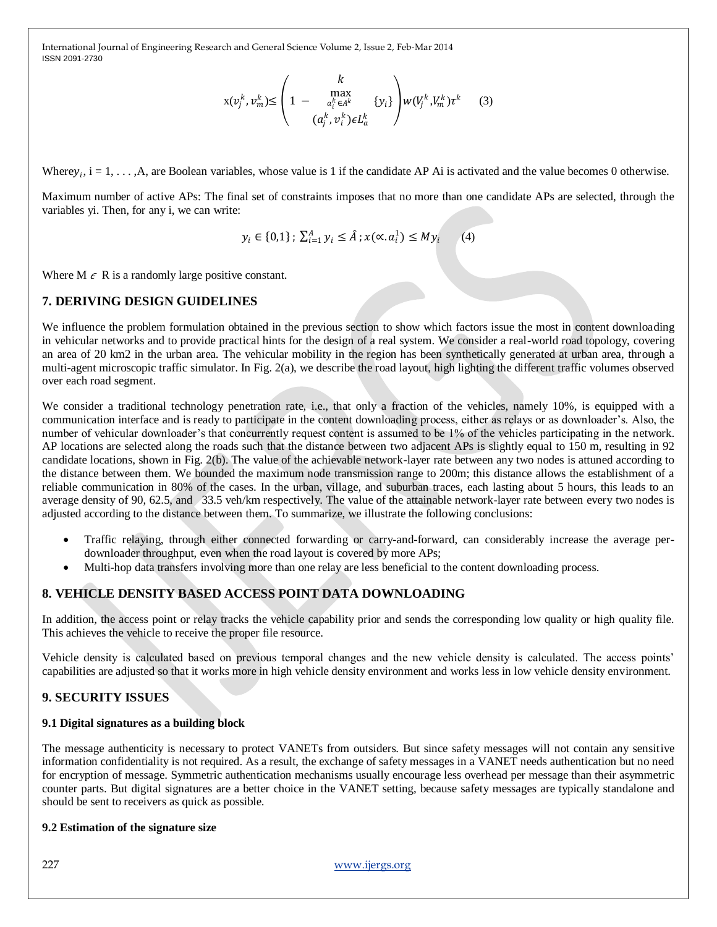$$
x(v_j^k, v_m^k) \leq \begin{pmatrix} k \\ 1 - \max_{a_i^k \in A^k} & \{y_i\} \\ (a_j^k, v_i^k) \in L_a^k \end{pmatrix} w(V_j^k, V_m^k) \tau^k \qquad (3)
$$

Where  $y_i$ ,  $i = 1, \ldots, A$ , are Boolean variables, whose value is 1 if the candidate AP Ai is activated and the value becomes 0 otherwise.

Maximum number of active APs: The final set of constraints imposes that no more than one candidate APs are selected, through the variables yi. Then, for any i, we can write:

$$
y_i \in \{0,1\} \, ; \, \sum_{i=1}^A y_i \le \hat{A} \, ; x(\alpha, a_i^1) \le My_i \tag{4}
$$

Where  $M \in \mathbb{R}$  is a randomly large positive constant.

## **7. DERIVING DESIGN GUIDELINES**

We influence the problem formulation obtained in the previous section to show which factors issue the most in content downloading in vehicular networks and to provide practical hints for the design of a real system. We consider a real-world road topology, covering an area of 20 km2 in the urban area. The vehicular mobility in the region has been synthetically generated at urban area, through a multi-agent microscopic traffic simulator. In Fig. 2(a), we describe the road layout, high lighting the different traffic volumes observed over each road segment.

We consider a traditional technology penetration rate, i.e., that only a fraction of the vehicles, namely 10%, is equipped with a communication interface and is ready to participate in the content downloading process, either as relays or as downloader's. Also, the number of vehicular downloader's that concurrently request content is assumed to be 1% of the vehicles participating in the network. AP locations are selected along the roads such that the distance between two adjacent APs is slightly equal to 150 m, resulting in 92 candidate locations, shown in Fig. 2(b). The value of the achievable network-layer rate between any two nodes is attuned according to the distance between them. We bounded the maximum node transmission range to 200m; this distance allows the establishment of a reliable communication in 80% of the cases. In the urban, village, and suburban traces, each lasting about 5 hours, this leads to an average density of 90, 62.5, and 33.5 veh/km respectively. The value of the attainable network-layer rate between every two nodes is adjusted according to the distance between them. To summarize, we illustrate the following conclusions:

- Traffic relaying, through either connected forwarding or carry-and-forward, can considerably increase the average perdownloader throughput, even when the road layout is covered by more APs;
- Multi-hop data transfers involving more than one relay are less beneficial to the content downloading process.

## **8. VEHICLE DENSITY BASED ACCESS POINT DATA DOWNLOADING**

In addition, the access point or relay tracks the vehicle capability prior and sends the corresponding low quality or high quality file. This achieves the vehicle to receive the proper file resource.

Vehicle density is calculated based on previous temporal changes and the new vehicle density is calculated. The access points' capabilities are adjusted so that it works more in high vehicle density environment and works less in low vehicle density environment.

## **9. SECURITY ISSUES**

#### **9.1 Digital signatures as a building block**

The message authenticity is necessary to protect VANETs from outsiders. But since safety messages will not contain any sensitive information confidentiality is not required. As a result, the exchange of safety messages in a VANET needs authentication but no need for encryption of message. Symmetric authentication mechanisms usually encourage less overhead per message than their asymmetric counter parts. But digital signatures are a better choice in the VANET setting, because safety messages are typically standalone and should be sent to receivers as quick as possible.

#### **9.2 Estimation of the signature size**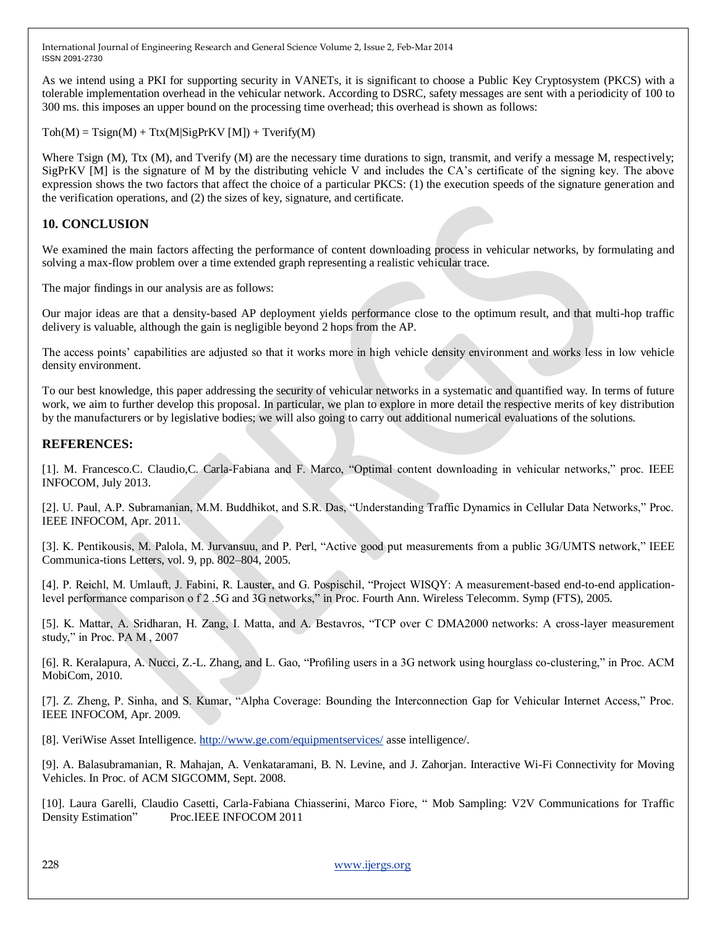As we intend using a PKI for supporting security in VANETs, it is significant to choose a Public Key Cryptosystem (PKCS) with a tolerable implementation overhead in the vehicular network. According to DSRC, safety messages are sent with a periodicity of 100 to 300 ms. this imposes an upper bound on the processing time overhead; this overhead is shown as follows:

 $Toh(M) = Tsign(M) + Ttx(M|SignKV [M]) + Tverify(M)$ 

Where Tsign (M), Ttx (M), and Tverify (M) are the necessary time durations to sign, transmit, and verify a message M, respectively; SigPrKV [M] is the signature of M by the distributing vehicle V and includes the CA's certificate of the signing key. The above expression shows the two factors that affect the choice of a particular PKCS: (1) the execution speeds of the signature generation and the verification operations, and (2) the sizes of key, signature, and certificate.

# **10. CONCLUSION**

We examined the main factors affecting the performance of content downloading process in vehicular networks, by formulating and solving a max-flow problem over a time extended graph representing a realistic vehicular trace.

The major findings in our analysis are as follows:

Our major ideas are that a density-based AP deployment yields performance close to the optimum result, and that multi-hop traffic delivery is valuable, although the gain is negligible beyond 2 hops from the AP.

The access points' capabilities are adjusted so that it works more in high vehicle density environment and works less in low vehicle density environment.

To our best knowledge, this paper addressing the security of vehicular networks in a systematic and quantified way. In terms of future work, we aim to further develop this proposal. In particular, we plan to explore in more detail the respective merits of key distribution by the manufacturers or by legislative bodies; we will also going to carry out additional numerical evaluations of the solutions.

## **REFERENCES:**

[1]. M. Francesco.C. Claudio,C. Carla-Fabiana and F. Marco, "Optimal content downloading in vehicular networks," proc. IEEE INFOCOM, July 2013.

[2]. U. Paul, A.P. Subramanian, M.M. Buddhikot, and S.R. Das, "Understanding Traffic Dynamics in Cellular Data Networks," Proc. IEEE INFOCOM, Apr. 2011.

[3]. K. Pentikousis, M. Palola, M. Jurvansuu, and P. Perl, "Active good put measurements from a public 3G/UMTS network," IEEE Communica-tions Letters, vol. 9, pp. 802–804, 2005.

[4]. P. Reichl, M. Umlauft, J. Fabini, R. Lauster, and G. Pospischil, "Project WISQY: A measurement-based end-to-end applicationlevel performance comparison o f 2 .5G and 3G networks," in Proc. Fourth Ann. Wireless Telecomm. Symp (FTS), 2005.

[5]. K. Mattar, A. Sridharan, H. Zang, I. Matta, and A. Bestavros, "TCP over C DMA2000 networks: A cross-layer measurement study," in Proc. PA M, 2007

[6]. R. Keralapura, A. Nucci, Z.-L. Zhang, and L. Gao, "Profiling users in a 3G network using hourglass co-clustering," in Proc. ACM MobiCom, 2010.

[7]. Z. Zheng, P. Sinha, and S. Kumar, "Alpha Coverage: Bounding the Interconnection Gap for Vehicular Internet Access," Proc. IEEE INFOCOM, Apr. 2009.

[8]. VeriWise Asset Intelligence.<http://www.ge.com/equipmentservices/> asse intelligence/.

[9]. A. Balasubramanian, R. Mahajan, A. Venkataramani, B. N. Levine, and J. Zahorjan. Interactive Wi-Fi Connectivity for Moving Vehicles. In Proc. of ACM SIGCOMM, Sept. 2008.

[10]. Laura Garelli, Claudio Casetti, Carla-Fabiana Chiasserini, Marco Fiore, " Mob Sampling: V2V Communications for Traffic Density Estimation" Proc.IEEE INFOCOM 2011